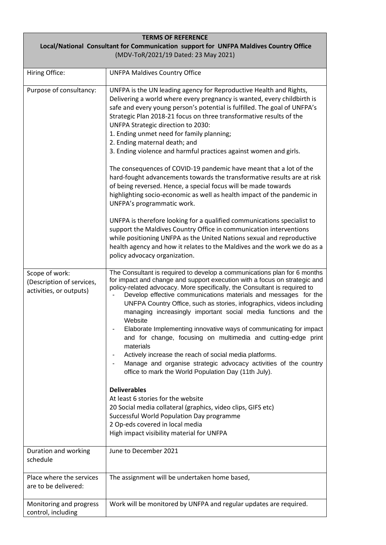| <b>TERMS OF REFERENCE</b>                                                                                                     |                                                                                                                                                                                                                                                                                                                                                                                                                                                                                                                                                                                                                                                                                                                                                                                                                                                                    |  |
|-------------------------------------------------------------------------------------------------------------------------------|--------------------------------------------------------------------------------------------------------------------------------------------------------------------------------------------------------------------------------------------------------------------------------------------------------------------------------------------------------------------------------------------------------------------------------------------------------------------------------------------------------------------------------------------------------------------------------------------------------------------------------------------------------------------------------------------------------------------------------------------------------------------------------------------------------------------------------------------------------------------|--|
| Local/National Consultant for Communication support for UNFPA Maldives Country Office<br>(MDV-ToR/2021/19 Dated: 23 May 2021) |                                                                                                                                                                                                                                                                                                                                                                                                                                                                                                                                                                                                                                                                                                                                                                                                                                                                    |  |
| Hiring Office:                                                                                                                | <b>UNFPA Maldives Country Office</b>                                                                                                                                                                                                                                                                                                                                                                                                                                                                                                                                                                                                                                                                                                                                                                                                                               |  |
| Purpose of consultancy:                                                                                                       | UNFPA is the UN leading agency for Reproductive Health and Rights,<br>Delivering a world where every pregnancy is wanted, every childbirth is<br>safe and every young person's potential is fulfilled. The goal of UNFPA's<br>Strategic Plan 2018-21 focus on three transformative results of the<br>UNFPA Strategic direction to 2030:<br>1. Ending unmet need for family planning;<br>2. Ending maternal death; and<br>3. Ending violence and harmful practices against women and girls.                                                                                                                                                                                                                                                                                                                                                                         |  |
|                                                                                                                               | The consequences of COVID-19 pandemic have meant that a lot of the<br>hard-fought advancements towards the transformative results are at risk<br>of being reversed. Hence, a special focus will be made towards<br>highlighting socio-economic as well as health impact of the pandemic in<br>UNFPA's programmatic work.                                                                                                                                                                                                                                                                                                                                                                                                                                                                                                                                           |  |
|                                                                                                                               | UNFPA is therefore looking for a qualified communications specialist to<br>support the Maldives Country Office in communication interventions<br>while positioning UNFPA as the United Nations sexual and reproductive<br>health agency and how it relates to the Maldives and the work we do as a<br>policy advocacy organization.                                                                                                                                                                                                                                                                                                                                                                                                                                                                                                                                |  |
| Scope of work:<br>(Description of services,<br>activities, or outputs)                                                        | The Consultant is required to develop a communications plan for 6 months<br>for impact and change and support execution with a focus on strategic and<br>policy-related advocacy. More specifically, the Consultant is required to<br>Develop effective communications materials and messages for the<br>UNFPA Country Office, such as stories, infographics, videos including<br>managing increasingly important social media functions and the<br>Website<br>Elaborate Implementing innovative ways of communicating for impact<br>and for change, focusing on multimedia and cutting-edge print<br>materials<br>Actively increase the reach of social media platforms.<br>Manage and organise strategic advocacy activities of the country<br>office to mark the World Population Day (11th July).<br><b>Deliverables</b><br>At least 6 stories for the website |  |
|                                                                                                                               | 20 Social media collateral (graphics, video clips, GIFS etc)<br>Successful World Population Day programme<br>2 Op-eds covered in local media<br>High impact visibility material for UNFPA                                                                                                                                                                                                                                                                                                                                                                                                                                                                                                                                                                                                                                                                          |  |
| Duration and working<br>schedule                                                                                              | June to December 2021                                                                                                                                                                                                                                                                                                                                                                                                                                                                                                                                                                                                                                                                                                                                                                                                                                              |  |
| Place where the services<br>are to be delivered:                                                                              | The assignment will be undertaken home based,                                                                                                                                                                                                                                                                                                                                                                                                                                                                                                                                                                                                                                                                                                                                                                                                                      |  |
| Monitoring and progress<br>control, including                                                                                 | Work will be monitored by UNFPA and regular updates are required.                                                                                                                                                                                                                                                                                                                                                                                                                                                                                                                                                                                                                                                                                                                                                                                                  |  |